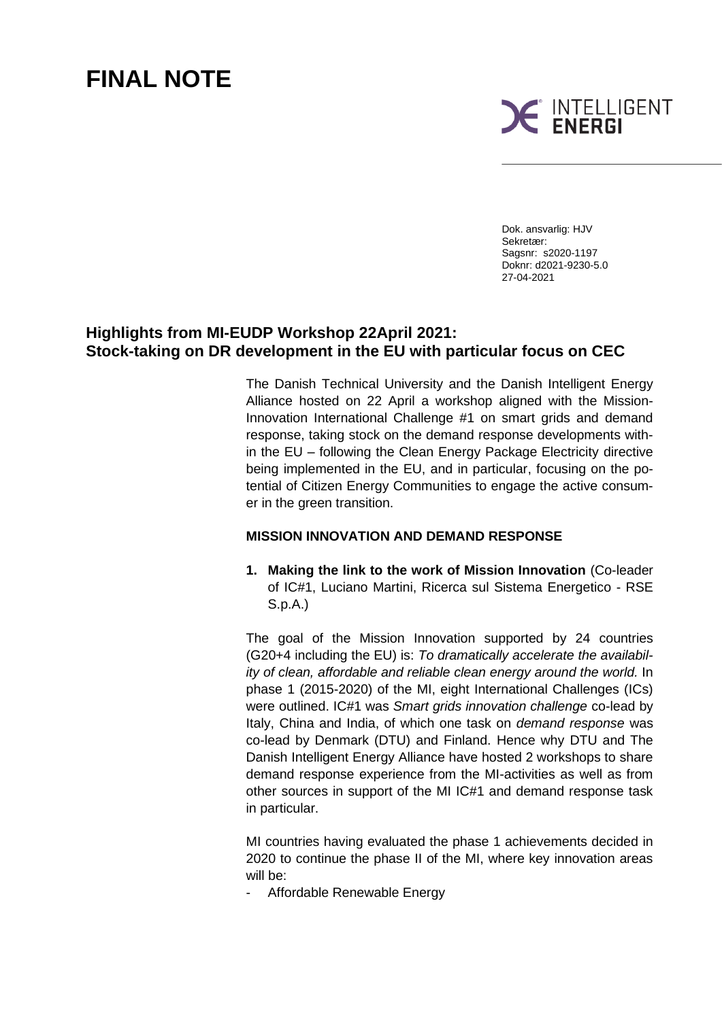# **FINAL NOTE**



Dok. ansvarlig: HJV Sekretær: Sagsnr: s2020-1197 Doknr: d2021-9230-5.0 27-04-2021

## **Highlights from MI-EUDP Workshop 22April 2021: Stock-taking on DR development in the EU with particular focus on CEC**

The Danish Technical University and the Danish Intelligent Energy Alliance hosted on 22 April a workshop aligned with the Mission-Innovation International Challenge #1 on smart grids and demand response, taking stock on the demand response developments within the EU – following the Clean Energy Package Electricity directive being implemented in the EU, and in particular, focusing on the potential of Citizen Energy Communities to engage the active consumer in the green transition.

#### **MISSION INNOVATION AND DEMAND RESPONSE**

**1. Making the link to the work of Mission Innovation** (Co-leader of IC#1, Luciano Martini, Ricerca sul Sistema Energetico - RSE S.p.A.)

The goal of the Mission Innovation supported by 24 countries (G20+4 including the EU) is: *To dramatically accelerate the availability of clean, affordable and reliable clean energy around the world.* In phase 1 (2015-2020) of the MI, eight International Challenges (ICs) were outlined. IC#1 was *Smart grids innovation challenge* co-lead by Italy, China and India, of which one task on *demand response* was co-lead by Denmark (DTU) and Finland. Hence why DTU and The Danish Intelligent Energy Alliance have hosted 2 workshops to share demand response experience from the MI-activities as well as from other sources in support of the MI IC#1 and demand response task in particular.

MI countries having evaluated the phase 1 achievements decided in 2020 to continue the phase II of the MI, where key innovation areas will be:

Affordable Renewable Energy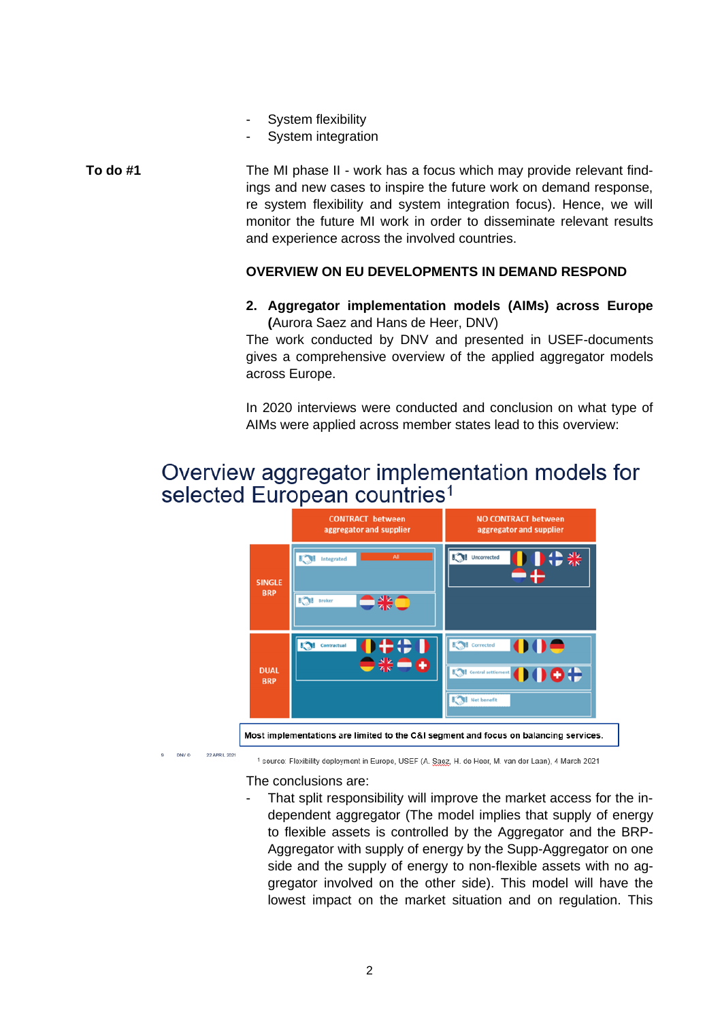- System flexibility
- System integration

The MI phase II - work has a focus which may provide relevant findings and new cases to inspire the future work on demand response, re system flexibility and system integration focus). Hence, we will monitor the future MI work in order to disseminate relevant results and experience across the involved countries. **To do #1**

### **OVERVIEW ON EU DEVELOPMENTS IN DEMAND RESPOND**

#### **2. Aggregator implementation models (AIMs) across Europe (**Aurora Saez and Hans de Heer, DNV)

The work conducted by DNV and presented in USEF-documents gives a comprehensive overview of the applied aggregator models across Europe.

In 2020 interviews were conducted and conclusion on what type of AIMs were applied across member states lead to this overview:

## Overview aggregator implementation models for selected European countries<sup>1</sup>



<sup>1</sup> source: Flexibility deployment in Europe, USEF (A. Saez, H. de Heer, M. van der Laan), 4 March 2021

The conclusions are:

That split responsibility will improve the market access for the independent aggregator (The model implies that supply of energy to flexible assets is controlled by the Aggregator and the BRP-Aggregator with supply of energy by the Supp-Aggregator on one side and the supply of energy to non-flexible assets with no aggregator involved on the other side). This model will have the lowest impact on the market situation and on regulation. This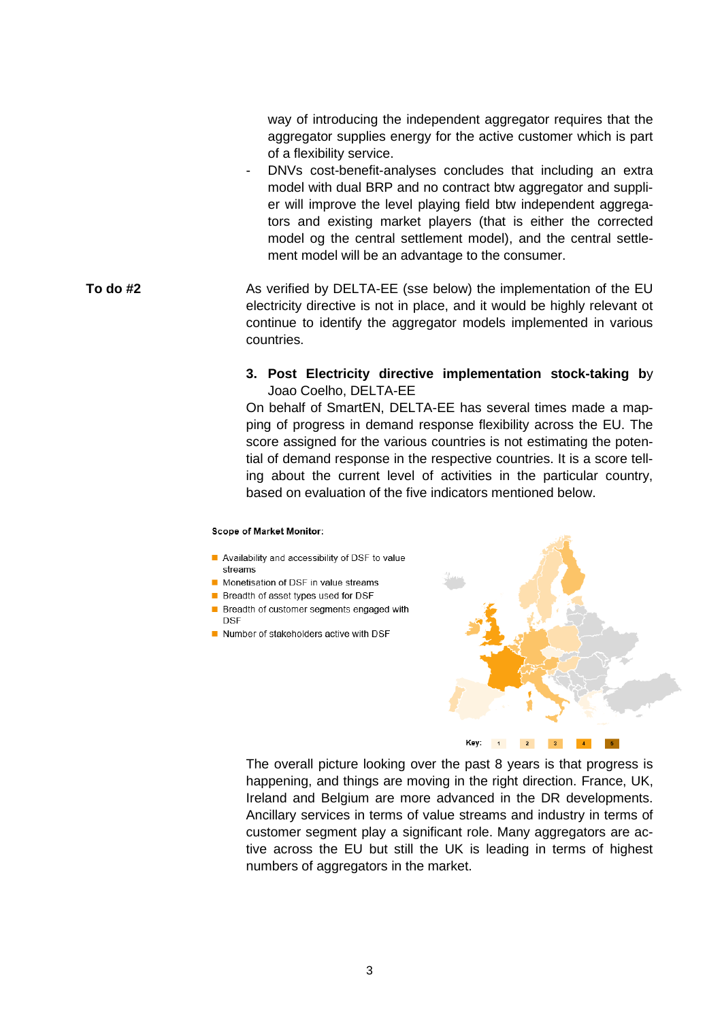way of introducing the independent aggregator requires that the aggregator supplies energy for the active customer which is part of a flexibility service.

- DNVs cost-benefit-analyses concludes that including an extra model with dual BRP and no contract btw aggregator and supplier will improve the level playing field btw independent aggregators and existing market players (that is either the corrected model og the central settlement model), and the central settlement model will be an advantage to the consumer.
- As verified by DELTA-EE (sse below) the implementation of the EU electricity directive is not in place, and it would be highly relevant ot continue to identify the aggregator models implemented in various countries. **To do #2**

#### **3. Post Electricity directive implementation stock-taking b**y Joao Coelho, DELTA-EE

On behalf of SmartEN, DELTA-EE has several times made a mapping of progress in demand response flexibility across the EU. The score assigned for the various countries is not estimating the potential of demand response in the respective countries. It is a score telling about the current level of activities in the particular country, based on evaluation of the five indicators mentioned below.

#### **Scope of Market Monitor:**

- Availability and accessibility of DSF to value streams
- Monetisation of DSF in value streams
- Breadth of asset types used for DSF
- Breadth of customer segments engaged with **DSE**
- Number of stakeholders active with DSF



The overall picture looking over the past 8 years is that progress is happening, and things are moving in the right direction. France, UK, Ireland and Belgium are more advanced in the DR developments. Ancillary services in terms of value streams and industry in terms of customer segment play a significant role. Many aggregators are active across the EU but still the UK is leading in terms of highest numbers of aggregators in the market.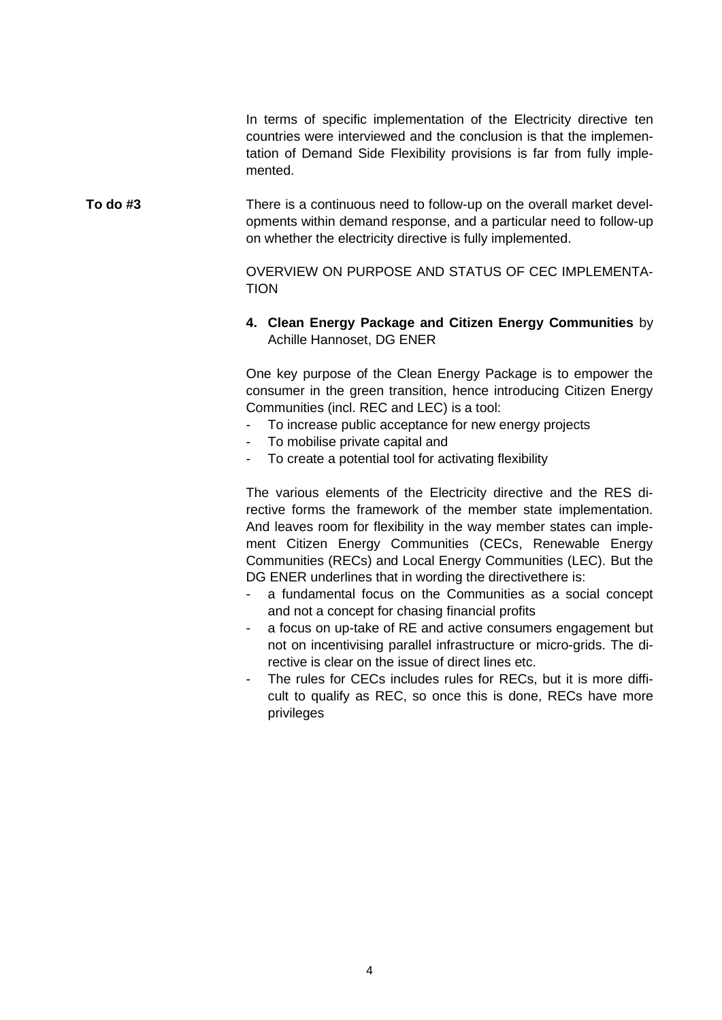In terms of specific implementation of the Electricity directive ten countries were interviewed and the conclusion is that the implementation of Demand Side Flexibility provisions is far from fully implemented.

There is a continuous need to follow-up on the overall market developments within demand response, and a particular need to follow-up on whether the electricity directive is fully implemented. **To do #3**

> OVERVIEW ON PURPOSE AND STATUS OF CEC IMPLEMENTA-TION

#### **4. Clean Energy Package and Citizen Energy Communities** by Achille Hannoset, DG ENER

One key purpose of the Clean Energy Package is to empower the consumer in the green transition, hence introducing Citizen Energy Communities (incl. REC and LEC) is a tool:

- To increase public acceptance for new energy projects
- To mobilise private capital and
- To create a potential tool for activating flexibility

The various elements of the Electricity directive and the RES directive forms the framework of the member state implementation. And leaves room for flexibility in the way member states can implement Citizen Energy Communities (CECs, Renewable Energy Communities (RECs) and Local Energy Communities (LEC). But the DG ENER underlines that in wording the directivethere is:

- a fundamental focus on the Communities as a social concept and not a concept for chasing financial profits
- a focus on up-take of RE and active consumers engagement but not on incentivising parallel infrastructure or micro-grids. The directive is clear on the issue of direct lines etc.
- The rules for CECs includes rules for RECs, but it is more difficult to qualify as REC, so once this is done, RECs have more privileges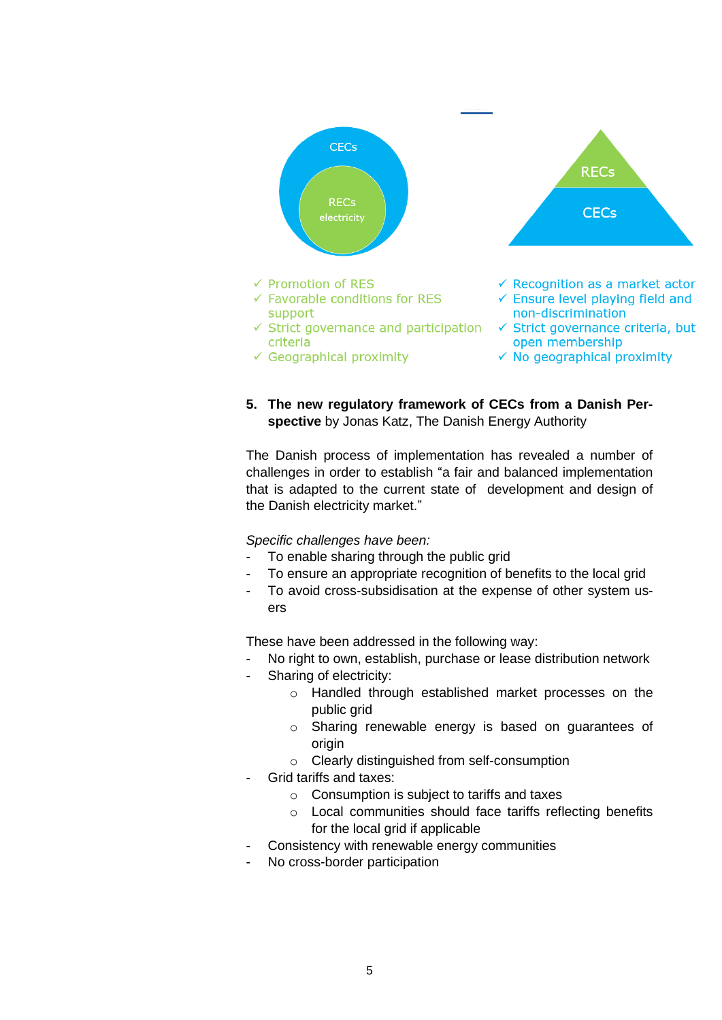

**5. The new regulatory framework of CECs from a Danish Perspective** by Jonas Katz, The Danish Energy Authority

The Danish process of implementation has revealed a number of challenges in order to establish "a fair and balanced implementation that is adapted to the current state of development and design of the Danish electricity market."

*Specific challenges have been:* 

- To enable sharing through the public grid
- To ensure an appropriate recognition of benefits to the local grid
- To avoid cross-subsidisation at the expense of other system users

These have been addressed in the following way:

- No right to own, establish, purchase or lease distribution network
- Sharing of electricity:
	- o Handled through established market processes on the public grid
	- o Sharing renewable energy is based on guarantees of origin
	- o Clearly distinguished from self-consumption
- Grid tariffs and taxes:
	- o Consumption is subject to tariffs and taxes
	- o Local communities should face tariffs reflecting benefits for the local grid if applicable
	- Consistency with renewable energy communities
- No cross-border participation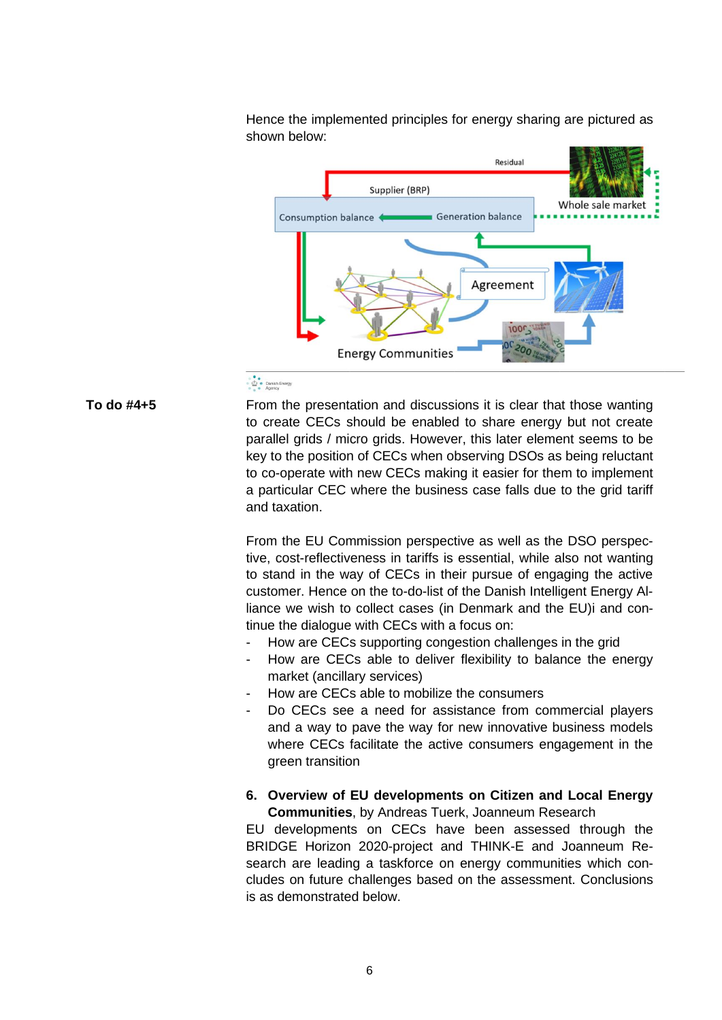Hence the implemented principles for energy sharing are pictured as shown below:



#### · Conish Energy

From the presentation and discussions it is clear that those wanting to create CECs should be enabled to share energy but not create parallel grids / micro grids. However, this later element seems to be key to the position of CECs when observing DSOs as being reluctant to co-operate with new CECs making it easier for them to implement a particular CEC where the business case falls due to the grid tariff and taxation.

From the EU Commission perspective as well as the DSO perspective, cost-reflectiveness in tariffs is essential, while also not wanting to stand in the way of CECs in their pursue of engaging the active customer. Hence on the to-do-list of the Danish Intelligent Energy Alliance we wish to collect cases (in Denmark and the EU)i and continue the dialogue with CECs with a focus on:

- How are CECs supporting congestion challenges in the grid
- How are CECs able to deliver flexibility to balance the energy market (ancillary services)
- How are CECs able to mobilize the consumers
- Do CECs see a need for assistance from commercial players and a way to pave the way for new innovative business models where CECs facilitate the active consumers engagement in the green transition
- **6. Overview of EU developments on Citizen and Local Energy Communities**, by Andreas Tuerk, Joanneum Research

EU developments on CECs have been assessed through the BRIDGE Horizon 2020-project and THINK-E and Joanneum Research are leading a taskforce on energy communities which concludes on future challenges based on the assessment. Conclusions is as demonstrated below.

**To do #4+5**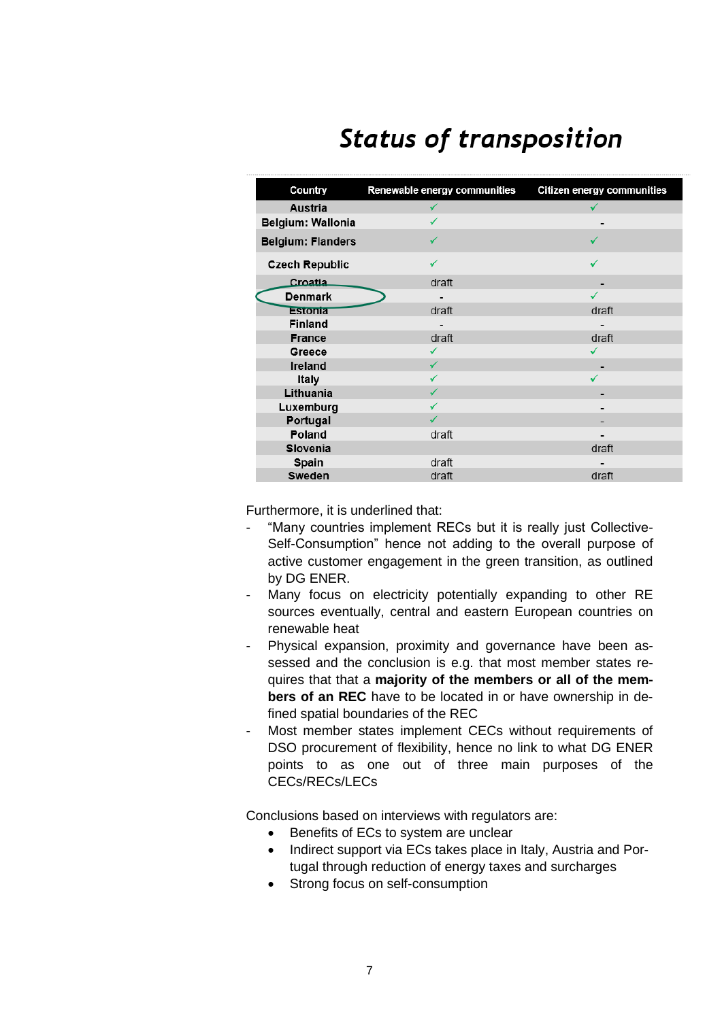# **Status of transposition**

| Country                  | Renewable energy communities | <b>Citizen energy communities</b> |
|--------------------------|------------------------------|-----------------------------------|
| <b>Austria</b>           |                              |                                   |
| <b>Belgium: Wallonia</b> |                              |                                   |
| <b>Belgium: Flanders</b> |                              |                                   |
| <b>Czech Republic</b>    |                              |                                   |
| Croatia                  | draft                        |                                   |
| <b>Denmark</b>           |                              |                                   |
| <b>Estonia</b>           | draft                        | draft                             |
| <b>Finland</b>           |                              |                                   |
| <b>France</b>            | draft                        | draft                             |
| Greece                   | ✓                            | √                                 |
| Ireland                  | ✓                            |                                   |
| Italy                    |                              |                                   |
| Lithuania                |                              |                                   |
| Luxemburg                |                              |                                   |
| Portugal                 |                              |                                   |
| Poland                   | draft                        |                                   |
| Slovenia                 |                              | draft                             |
| Spain                    | draft                        |                                   |
| Sweden                   | draft                        | draft                             |

Furthermore, it is underlined that:

- "Many countries implement RECs but it is really just Collective-Self-Consumption" hence not adding to the overall purpose of active customer engagement in the green transition, as outlined by DG ENER.
- Many focus on electricity potentially expanding to other RE sources eventually, central and eastern European countries on renewable heat
- Physical expansion, proximity and governance have been assessed and the conclusion is e.g. that most member states requires that that a **majority of the members or all of the members of an REC** have to be located in or have ownership in defined spatial boundaries of the REC
- Most member states implement CECs without requirements of DSO procurement of flexibility, hence no link to what DG ENER points to as one out of three main purposes of the CECs/RECs/LECs

Conclusions based on interviews with regulators are:

- Benefits of ECs to system are unclear
- Indirect support via ECs takes place in Italy, Austria and Portugal through reduction of energy taxes and surcharges
- Strong focus on self-consumption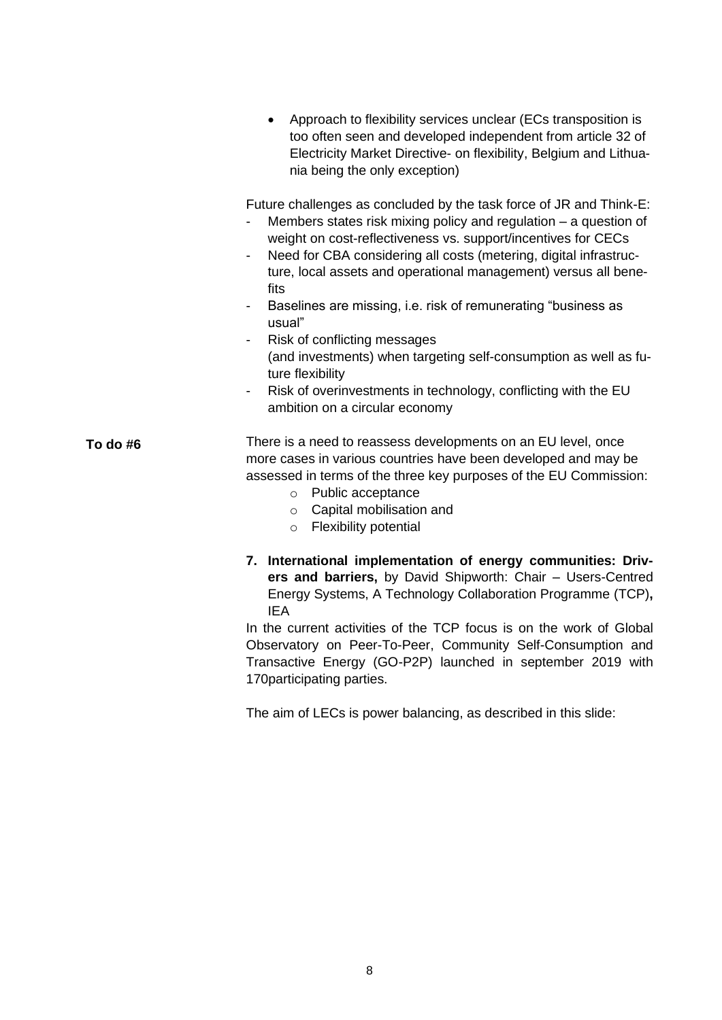• Approach to flexibility services unclear (ECs transposition is too often seen and developed independent from article 32 of Electricity Market Directive- on flexibility, Belgium and Lithuania being the only exception) Future challenges as concluded by the task force of JR and Think-E: - Members states risk mixing policy and regulation – a question of weight on cost-reflectiveness vs. support/incentives for CECs - Need for CBA considering all costs (metering, digital infrastructure, local assets and operational management) versus all benefits - Baselines are missing, i.e. risk of remunerating "business as usual" Risk of conflicting messages (and investments) when targeting self-consumption as well as future flexibility Risk of overinvestments in technology, conflicting with the EU ambition on a circular economy There is a need to reassess developments on an EU level, once more cases in various countries have been developed and may be assessed in terms of the three key purposes of the EU Commission: o Public acceptance o Capital mobilisation and o Flexibility potential

**To do #6**

**7. International implementation of energy communities: Drivers and barriers,** by David Shipworth: Chair – Users-Centred Energy Systems, A Technology Collaboration Programme (TCP)**,** IEA

In the current activities of the TCP focus is on the work of Global Observatory on Peer-To-Peer, Community Self-Consumption and Transactive Energy (GO-P2P) launched in september 2019 with 170participating parties.

The aim of LECs is power balancing, as described in this slide: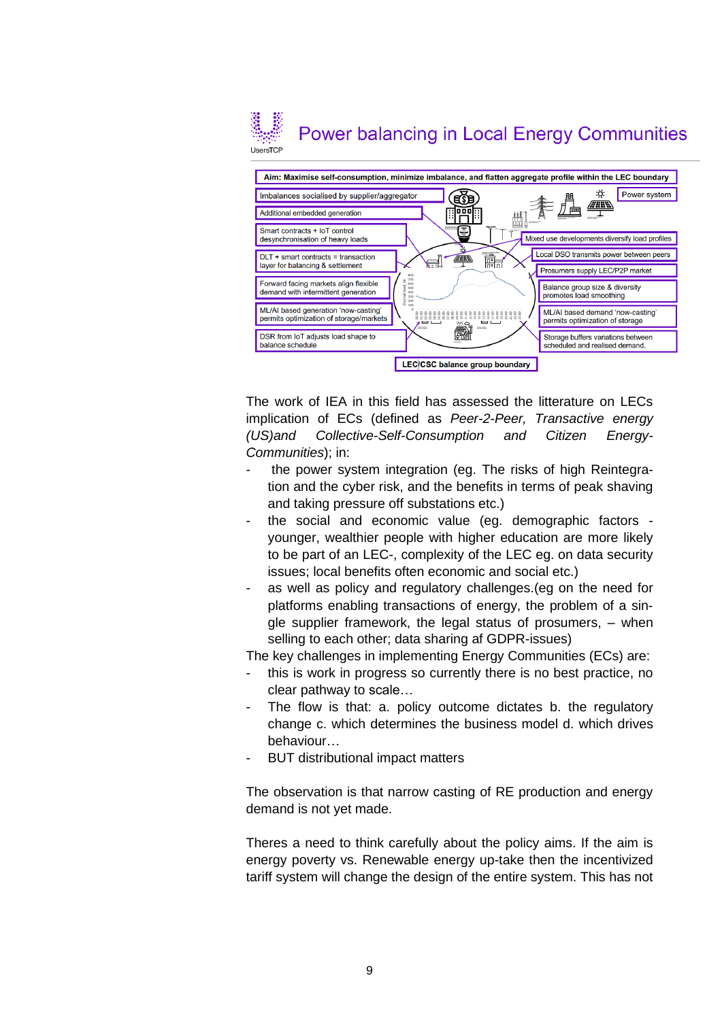## **Power balancing in Local Energy Communities** UsersTCF



The work of IEA in this field has assessed the litterature on LECs implication of ECs (defined as *Peer-2-Peer, Transactive energy (US)and Collective-Self-Consumption and Citizen Energy-Communities*); in:

- the power system integration (eg. The risks of high Reintegration and the cyber risk, and the benefits in terms of peak shaving and taking pressure off substations etc.)
- the social and economic value (eg. demographic factors younger, wealthier people with higher education are more likely to be part of an LEC-, complexity of the LEC eg. on data security issues; local benefits often economic and social etc.)
- as well as policy and regulatory challenges. (eg on the need for platforms enabling transactions of energy, the problem of a single supplier framework, the legal status of prosumers, – when selling to each other; data sharing af GDPR-issues)

The key challenges in implementing Energy Communities (ECs) are:

- this is work in progress so currently there is no best practice, no clear pathway to scale…
- The flow is that: a. policy outcome dictates b. the regulatory change c. which determines the business model d. which drives behaviour…
- BUT distributional impact matters

The observation is that narrow casting of RE production and energy demand is not yet made.

Theres a need to think carefully about the policy aims. If the aim is energy poverty vs. Renewable energy up-take then the incentivized tariff system will change the design of the entire system. This has not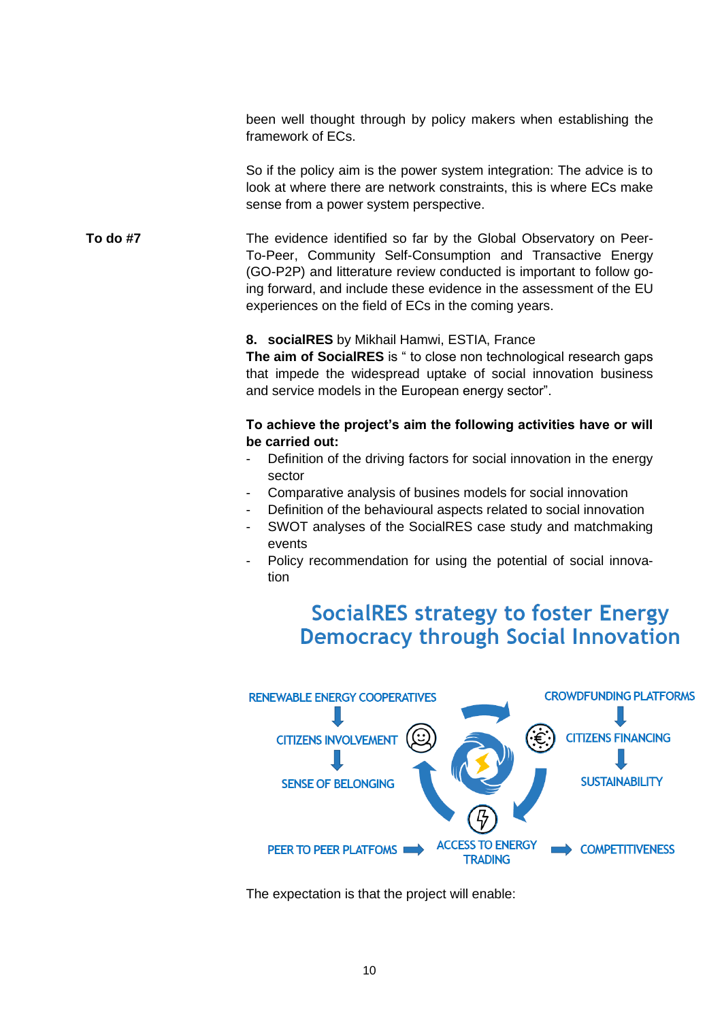been well thought through by policy makers when establishing the framework of ECs.

So if the policy aim is the power system integration: The advice is to look at where there are network constraints, this is where ECs make sense from a power system perspective.

The evidence identified so far by the Global Observatory on Peer-To-Peer, Community Self-Consumption and Transactive Energy (GO-P2P) and litterature review conducted is important to follow going forward, and include these evidence in the assessment of the EU experiences on the field of ECs in the coming years. **To do #7**

#### **8. socialRES** by Mikhail Hamwi, ESTIA, France

**The aim of SocialRES** is " to close non technological research gaps that impede the widespread uptake of social innovation business and service models in the European energy sector".

#### **To achieve the project's aim the following activities have or will be carried out:**

- Definition of the driving factors for social innovation in the energy sector
- Comparative analysis of busines models for social innovation
- Definition of the behavioural aspects related to social innovation
- SWOT analyses of the SocialRES case study and matchmaking events
- Policy recommendation for using the potential of social innovation

# **SocialRES strategy to foster Energy Democracy through Social Innovation**



The expectation is that the project will enable: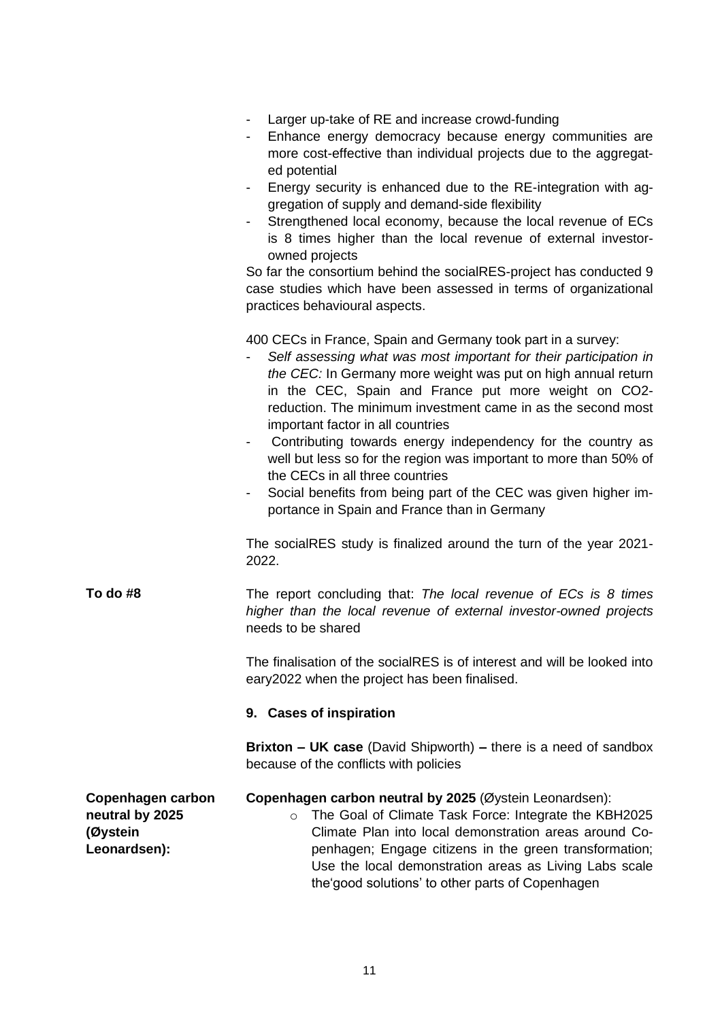|                                                                  | Larger up-take of RE and increase crowd-funding<br>Enhance energy democracy because energy communities are<br>more cost-effective than individual projects due to the aggregat-<br>ed potential<br>Energy security is enhanced due to the RE-integration with ag-<br>gregation of supply and demand-side flexibility<br>Strengthened local economy, because the local revenue of ECs<br>is 8 times higher than the local revenue of external investor-<br>owned projects<br>So far the consortium behind the socialRES-project has conducted 9<br>case studies which have been assessed in terms of organizational<br>practices behavioural aspects.                                  |  |
|------------------------------------------------------------------|---------------------------------------------------------------------------------------------------------------------------------------------------------------------------------------------------------------------------------------------------------------------------------------------------------------------------------------------------------------------------------------------------------------------------------------------------------------------------------------------------------------------------------------------------------------------------------------------------------------------------------------------------------------------------------------|--|
|                                                                  | 400 CECs in France, Spain and Germany took part in a survey:<br>Self assessing what was most important for their participation in<br>the CEC: In Germany more weight was put on high annual return<br>in the CEC, Spain and France put more weight on CO2-<br>reduction. The minimum investment came in as the second most<br>important factor in all countries<br>Contributing towards energy independency for the country as<br>$\overline{\phantom{a}}$<br>well but less so for the region was important to more than 50% of<br>the CECs in all three countries<br>Social benefits from being part of the CEC was given higher im-<br>portance in Spain and France than in Germany |  |
|                                                                  | The socialRES study is finalized around the turn of the year 2021-<br>2022.                                                                                                                                                                                                                                                                                                                                                                                                                                                                                                                                                                                                           |  |
| To do #8                                                         | The report concluding that: The local revenue of ECs is 8 times<br>higher than the local revenue of external investor-owned projects<br>needs to be shared                                                                                                                                                                                                                                                                                                                                                                                                                                                                                                                            |  |
|                                                                  | The finalisation of the socialRES is of interest and will be looked into<br>eary2022 when the project has been finalised.                                                                                                                                                                                                                                                                                                                                                                                                                                                                                                                                                             |  |
|                                                                  | 9. Cases of inspiration                                                                                                                                                                                                                                                                                                                                                                                                                                                                                                                                                                                                                                                               |  |
|                                                                  | <b>Brixton - UK case</b> (David Shipworth) - there is a need of sandbox<br>because of the conflicts with policies                                                                                                                                                                                                                                                                                                                                                                                                                                                                                                                                                                     |  |
| Copenhagen carbon<br>neutral by 2025<br>(Øystein<br>Leonardsen): | Copenhagen carbon neutral by 2025 (Øystein Leonardsen):<br>The Goal of Climate Task Force: Integrate the KBH2025<br>$\circ$<br>Climate Plan into local demonstration areas around Co-<br>penhagen; Engage citizens in the green transformation;<br>Use the local demonstration areas as Living Labs scale<br>the'good solutions' to other parts of Copenhagen                                                                                                                                                                                                                                                                                                                         |  |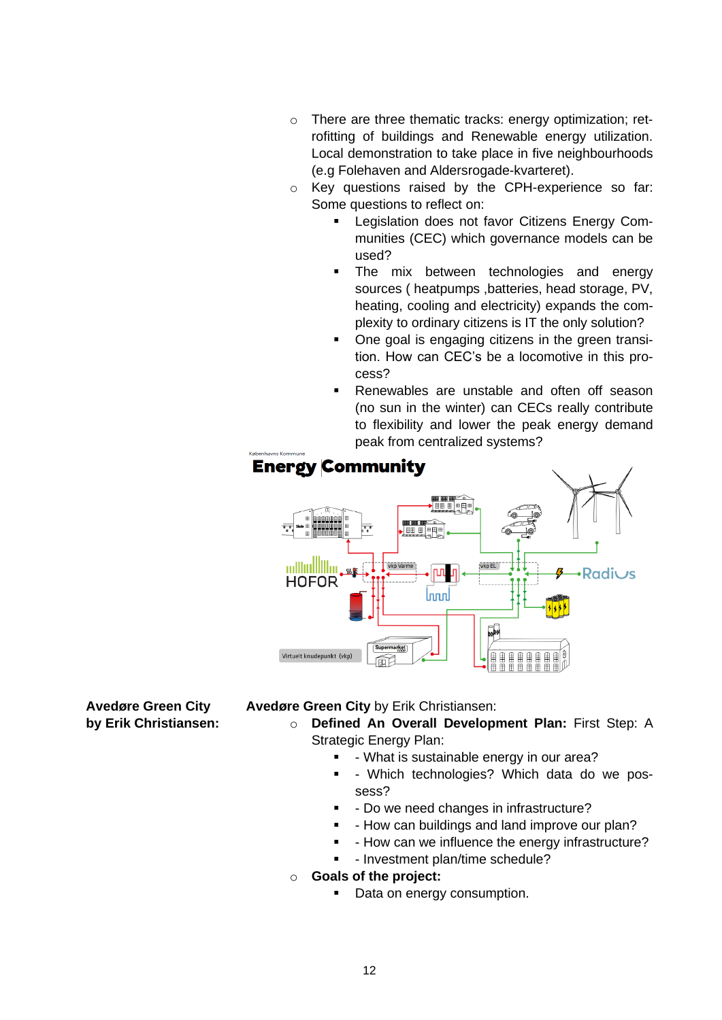- o There are three thematic tracks: energy optimization; retrofitting of buildings and Renewable energy utilization. Local demonstration to take place in five neighbourhoods (e.g Folehaven and Aldersrogade-kvarteret).
- o Key questions raised by the CPH-experience so far: Some questions to reflect on:
	- Legislation does not favor Citizens Energy Communities (CEC) which governance models can be used?
	- The mix between technologies and energy sources ( heatpumps ,batteries, head storage, PV, heating, cooling and electricity) expands the complexity to ordinary citizens is IT the only solution?
	- One goal is engaging citizens in the green transition. How can CEC's be a locomotive in this process?
	- Renewables are unstable and often off season (no sun in the winter) can CECs really contribute to flexibility and lower the peak energy demand peak from centralized systems?



**Avedøre Green City by Erik Christiansen:** **Avedøre Green City** by Erik Christiansen:

- o **Defined An Overall Development Plan:** First Step: A Strategic Energy Plan:
	- - What is sustainable energy in our area?
	- - Which technologies? Which data do we possess?
	- - Do we need changes in infrastructure?
	- - How can buildings and land improve our plan?
	- How can we influence the energy infrastructure?
	- - Investment plan/time schedule?
- o **Goals of the project:**
	- Data on energy consumption.